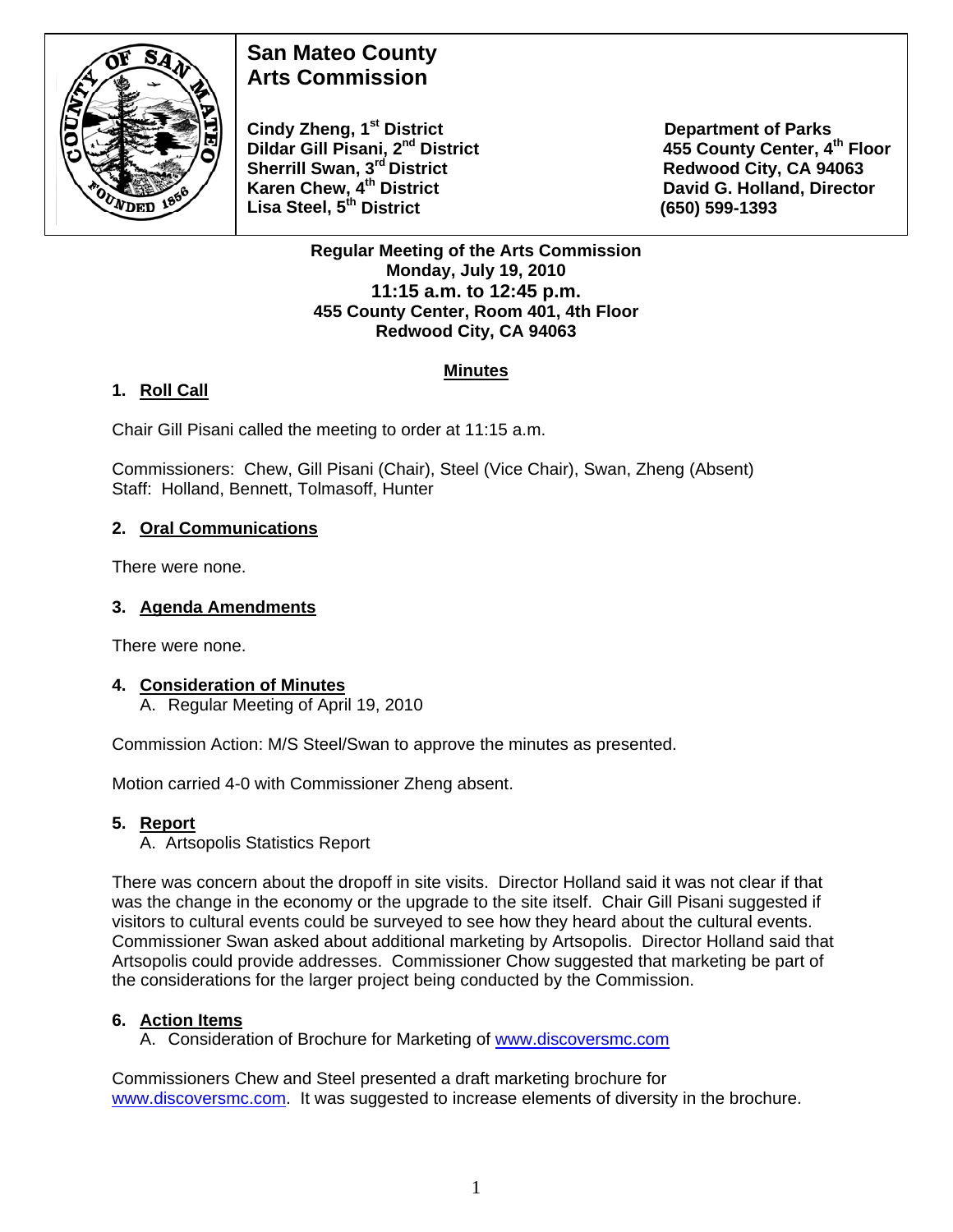

# **San Mateo County Arts Commission**

**Cindy Zheng, 1<sup>st</sup> District Department of Parks Dildar Gill Pisani, 2<sup>nd</sup> District 455 County Center, 4<sup>th</sup> Floor Sherrill Swan, 3<sup>rd</sup> District <b>Redwood City, CA 94063**<br> **Karen Chew, 4<sup>th</sup> District Caren Bass Controllery Control Control David G. Holland, Directo Lisa Steel, 5th District (650) 599-1393** 

**David G. Holland, Director** 

#### **Regular Meeting of the Arts Commission Monday, July 19, 2010 11:15 a.m. to 12:45 p.m. 455 County Center, Room 401, 4th Floor Redwood City, CA 94063**

## **Minutes**

## **1. Roll Call**

Chair Gill Pisani called the meeting to order at 11:15 a.m.

Commissioners: Chew, Gill Pisani (Chair), Steel (Vice Chair), Swan, Zheng (Absent) Staff: Holland, Bennett, Tolmasoff, Hunter

## **2. Oral Communications**

There were none.

## **3. Agenda Amendments**

There were none.

### **4. Consideration of Minutes**

A. Regular Meeting of April 19, 2010

Commission Action: M/S Steel/Swan to approve the minutes as presented.

Motion carried 4-0 with Commissioner Zheng absent.

### **5. Report**

A. Artsopolis Statistics Report

There was concern about the dropoff in site visits. Director Holland said it was not clear if that was the change in the economy or the upgrade to the site itself. Chair Gill Pisani suggested if visitors to cultural events could be surveyed to see how they heard about the cultural events. Commissioner Swan asked about additional marketing by Artsopolis. Director Holland said that Artsopolis could provide addresses. Commissioner Chow suggested that marketing be part of the considerations for the larger project being conducted by the Commission.

### **6. Action Items**

A. Consideration of Brochure for Marketing of [www.discoversmc.com](http://www.discoversmc.com/)

Commissioners Chew and Steel presented a draft marketing brochure for [www.discoversmc.com.](http://www.discoversmc.com/) It was suggested to increase elements of diversity in the brochure.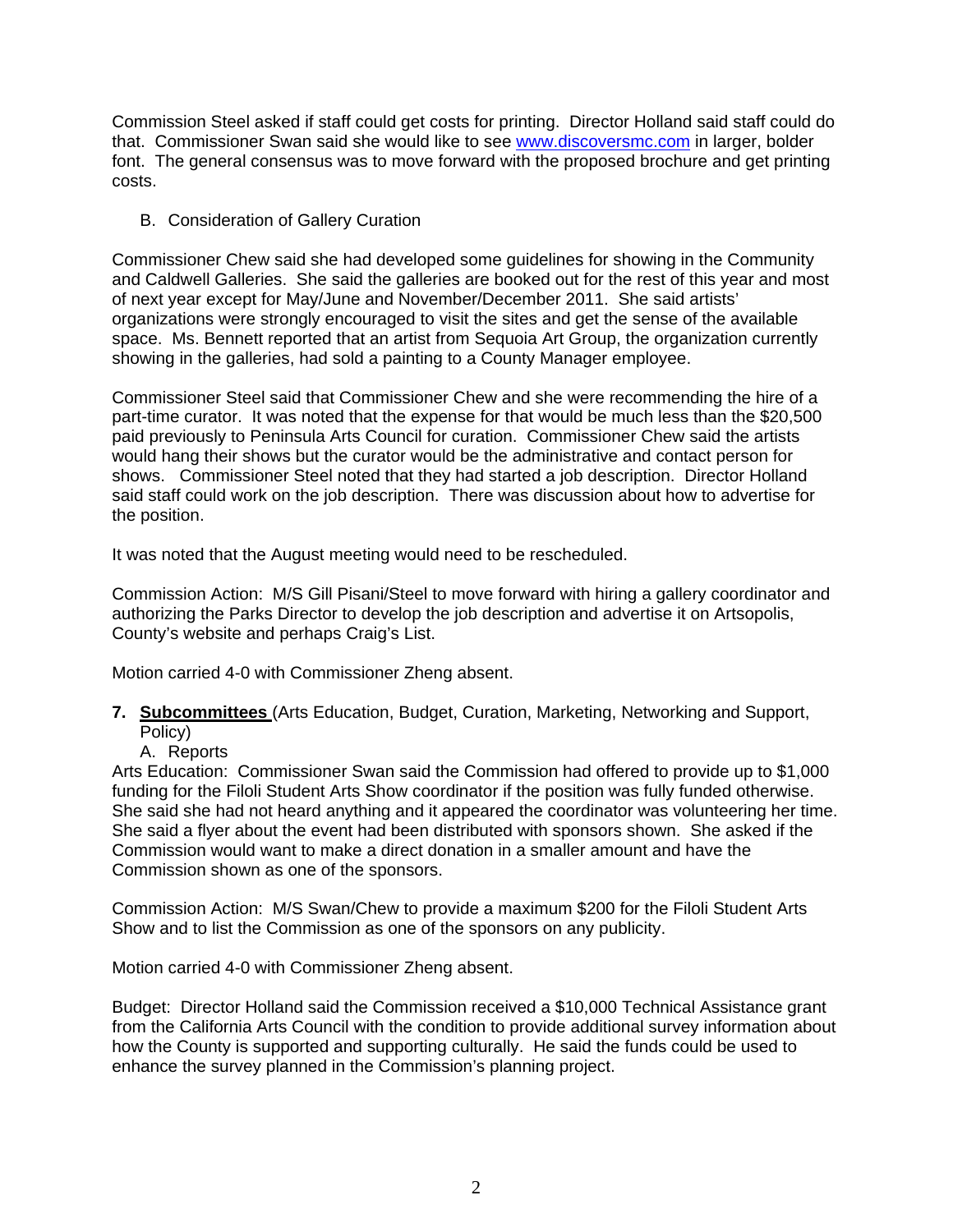Commission Steel asked if staff could get costs for printing. Director Holland said staff could do that. Commissioner Swan said she would like to see [www.discoversmc.com](http://www.discoversmc.com/) in larger, bolder font. The general consensus was to move forward with the proposed brochure and get printing costs.

B. Consideration of Gallery Curation

Commissioner Chew said she had developed some guidelines for showing in the Community and Caldwell Galleries. She said the galleries are booked out for the rest of this year and most of next year except for May/June and November/December 2011. She said artists' organizations were strongly encouraged to visit the sites and get the sense of the available space. Ms. Bennett reported that an artist from Sequoia Art Group, the organization currently showing in the galleries, had sold a painting to a County Manager employee.

Commissioner Steel said that Commissioner Chew and she were recommending the hire of a part-time curator. It was noted that the expense for that would be much less than the \$20,500 paid previously to Peninsula Arts Council for curation. Commissioner Chew said the artists would hang their shows but the curator would be the administrative and contact person for shows. Commissioner Steel noted that they had started a job description. Director Holland said staff could work on the job description. There was discussion about how to advertise for the position.

It was noted that the August meeting would need to be rescheduled.

Commission Action: M/S Gill Pisani/Steel to move forward with hiring a gallery coordinator and authorizing the Parks Director to develop the job description and advertise it on Artsopolis, County's website and perhaps Craig's List.

Motion carried 4-0 with Commissioner Zheng absent.

- **7. Subcommittees** (Arts Education, Budget, Curation, Marketing, Networking and Support, Policy)
	- A. Reports

Arts Education: Commissioner Swan said the Commission had offered to provide up to \$1,000 funding for the Filoli Student Arts Show coordinator if the position was fully funded otherwise. She said she had not heard anything and it appeared the coordinator was volunteering her time. She said a flyer about the event had been distributed with sponsors shown. She asked if the Commission would want to make a direct donation in a smaller amount and have the Commission shown as one of the sponsors.

Commission Action: M/S Swan/Chew to provide a maximum \$200 for the Filoli Student Arts Show and to list the Commission as one of the sponsors on any publicity.

Motion carried 4-0 with Commissioner Zheng absent.

Budget: Director Holland said the Commission received a \$10,000 Technical Assistance grant from the California Arts Council with the condition to provide additional survey information about how the County is supported and supporting culturally. He said the funds could be used to enhance the survey planned in the Commission's planning project.